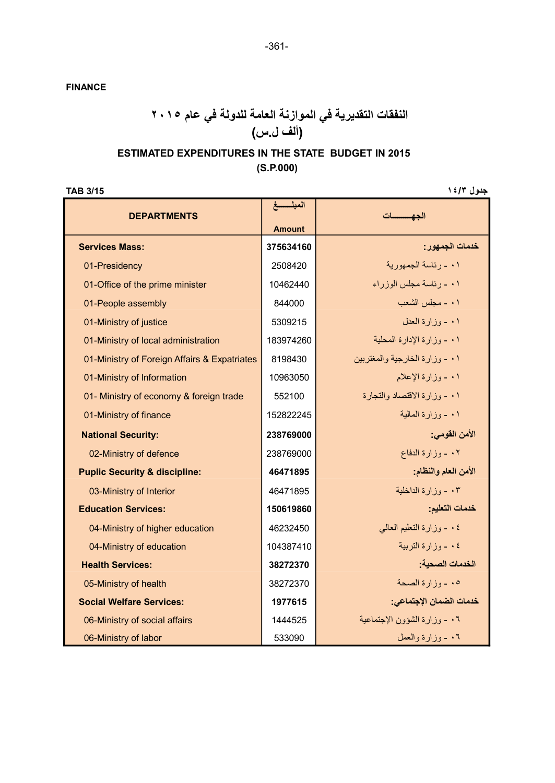FINANCE

## النفقات التقديرية في الموازنة العامة للدولة في عام ٢٠١٥ (ألف ل.س)

### (S.P.000) ESTIMATED EXPENDITURES IN THE STATE BUDGET IN 2015

جدول ١٤/٣ / ١٤

| <b>DEPARTMENTS</b>                           | المبلسسغ      | الحفسسات                       |
|----------------------------------------------|---------------|--------------------------------|
|                                              | <b>Amount</b> |                                |
| <b>Services Mass:</b>                        | 375634160     | خدمات الجمهور :                |
| 01-Presidency                                | 2508420       | ٠١ - رئاسة الجمهورية           |
| 01-Office of the prime minister              | 10462440      | ۰۱ - رئاسة مجلس الوزراء        |
| 01-People assembly                           | 844000        | ٠١ - مجلس الشعب                |
| 01-Ministry of justice                       | 5309215       | ٠١ - وزارة العدل               |
| 01-Ministry of local administration          | 183974260     | ٠١ - وزارة الإدارة المحلية     |
| 01-Ministry of Foreign Affairs & Expatriates | 8198430       | ۰۱ - وزارة الخارجية والمغتربين |
| 01-Ministry of Information                   | 10963050      | ۰۱ ـ وزارة الإعلام             |
| 01- Ministry of economy & foreign trade      | 552100        | ۰۱ - وزارة الاقتصاد والتجارة   |
| 01-Ministry of finance                       | 152822245     | ۰۱ ـ وزارة المالية             |
| <b>National Security:</b>                    | 238769000     | الأمن القومي:                  |
| 02-Ministry of defence                       | 238769000     | ٠٢ - وزارة الدفاع              |
| <b>Puplic Security &amp; discipline:</b>     | 46471895      | الأمن العام والنظام:           |
| 03-Ministry of Interior                      | 46471895      | ٠٣ - وزارة الداخلية            |
| <b>Education Services:</b>                   | 150619860     | خدمات التعليم:                 |
| 04-Ministry of higher education              | 46232450      | ٠٤ - وزارة التعليم العالمي     |
| 04-Ministry of education                     | 104387410     | ٤ . - وزارة التربية            |
| <b>Health Services:</b>                      | 38272370      | الخدمات الصحبة:                |
| 05-Ministry of health                        | 38272370      | ٠٥ - وزارة الصحة               |
| <b>Social Welfare Services:</b>              | 1977615       | خدمات الضمان الإجتماعي:        |
| 06-Ministry of social affairs                | 1444525       | ٠٦ - وزارة الشؤون الإجتماعية   |
| 06-Ministry of labor                         | 533090        | ٠٦ - وزارة والعمل              |